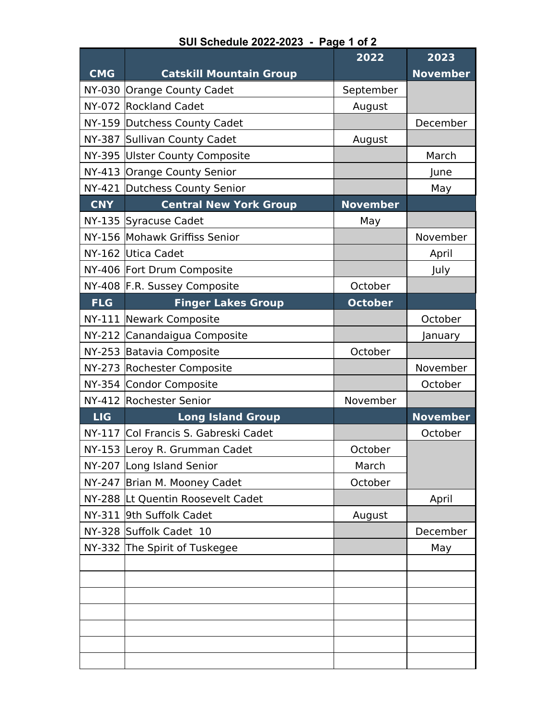| <b>CMG</b>    | <b>Catskill Mountain Group</b>       | 2022            | 2023<br><b>November</b> |
|---------------|--------------------------------------|-----------------|-------------------------|
|               | NY-030 Orange County Cadet           | September       |                         |
|               | NY-072 Rockland Cadet                | August          |                         |
|               | NY-159 Dutchess County Cadet         |                 | December                |
|               | NY-387 Sullivan County Cadet         | August          |                         |
|               | NY-395 Ulster County Composite       |                 | March                   |
|               | NY-413 Orange County Senior          |                 | June                    |
|               | NY-421 Dutchess County Senior        |                 | May                     |
| <b>CNY</b>    | <b>Central New York Group</b>        | <b>November</b> |                         |
|               | NY-135 Syracuse Cadet                | May             |                         |
|               | NY-156 Mohawk Griffiss Senior        |                 | November                |
|               | NY-162 Utica Cadet                   |                 | April                   |
|               | NY-406 Fort Drum Composite           |                 | July                    |
|               | NY-408 F.R. Sussey Composite         | October         |                         |
| <b>FLG</b>    | <b>Finger Lakes Group</b>            | <b>October</b>  |                         |
| <b>NY-111</b> | Newark Composite                     |                 | October                 |
|               | NY-212 Canandaigua Composite         |                 | January                 |
|               | NY-253 Batavia Composite             | October         |                         |
|               | NY-273 Rochester Composite           |                 | November                |
|               | NY-354 Condor Composite              |                 | October                 |
|               | NY-412 Rochester Senior              | November        |                         |
| <b>LIG</b>    | <b>Long Island Group</b>             |                 | <b>November</b>         |
|               | NY-117 Col Francis S. Gabreski Cadet |                 | October                 |
|               | NY-153 Leroy R. Grumman Cadet        | October         |                         |
| <b>NY-207</b> | Long Island Senior                   | March           |                         |
| <b>NY-247</b> | Brian M. Mooney Cadet                | October         |                         |
|               | NY-288 Lt Quentin Roosevelt Cadet    |                 | April                   |
| NY-311        | 9th Suffolk Cadet                    | August          |                         |
|               | NY-328 Suffolk Cadet 10              |                 | December                |
|               | NY-332 The Spirit of Tuskegee        |                 | May                     |
|               |                                      |                 |                         |
|               |                                      |                 |                         |
|               |                                      |                 |                         |
|               |                                      |                 |                         |
|               |                                      |                 |                         |
|               |                                      |                 |                         |
|               |                                      |                 |                         |

## **SUI Schedule 2022-2023 - Page 1 of 2**